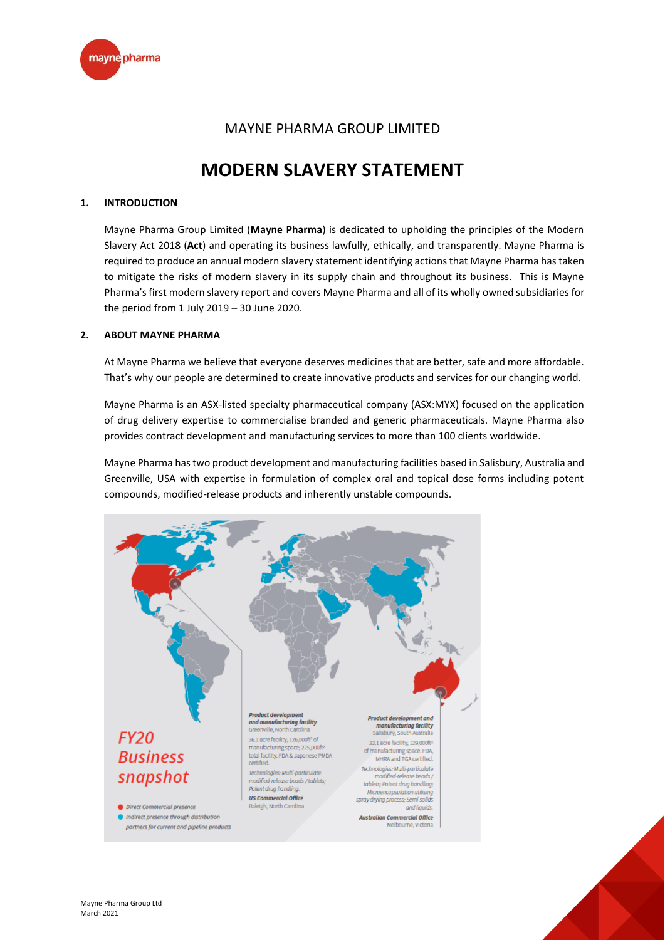

# MAYNE PHARMA GROUP LIMITED

# **MODERN SLAVERY STATEMENT**

## **1. INTRODUCTION**

Mayne Pharma Group Limited (**Mayne Pharma**) is dedicated to upholding the principles of the Modern Slavery Act 2018 (**Act**) and operating its business lawfully, ethically, and transparently. Mayne Pharma is required to produce an annual modern slavery statement identifying actions that Mayne Pharma has taken to mitigate the risks of modern slavery in its supply chain and throughout its business. This is Mayne Pharma's first modern slavery report and covers Mayne Pharma and all of its wholly owned subsidiaries for the period from 1 July 2019 – 30 June 2020.

#### **2. ABOUT MAYNE PHARMA**

At Mayne Pharma we believe that everyone deserves medicines that are better, safe and more affordable. That's why our people are determined to create innovative products and services for our changing world.

Mayne Pharma is an ASX-listed specialty pharmaceutical company (ASX:MYX) focused on the application of drug delivery expertise to commercialise branded and generic pharmaceuticals. Mayne Pharma also provides contract development and manufacturing services to more than 100 clients worldwide.

Mayne Pharma has two product development and manufacturing facilities based in Salisbury, Australia and Greenville, USA with expertise in formulation of complex oral and topical dose forms including potent compounds, modified-release products and inherently unstable compounds.

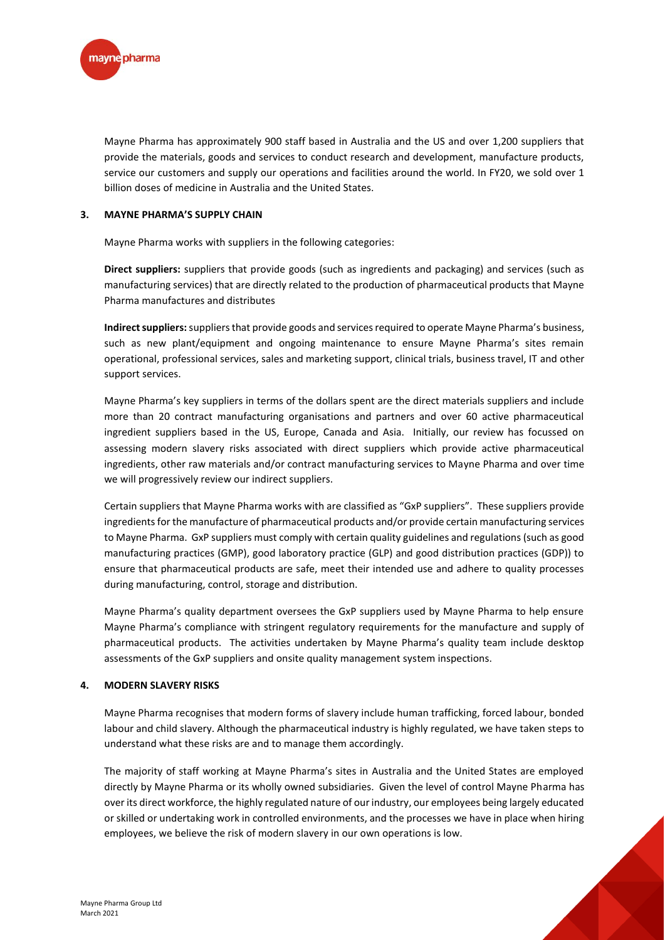

Mayne Pharma has approximately 900 staff based in Australia and the US and over 1,200 suppliers that provide the materials, goods and services to conduct research and development, manufacture products, service our customers and supply our operations and facilities around the world. In FY20, we sold over 1 billion doses of medicine in Australia and the United States.

#### **3. MAYNE PHARMA'S SUPPLY CHAIN**

Mayne Pharma works with suppliers in the following categories:

**Direct suppliers:** suppliers that provide goods (such as ingredients and packaging) and services (such as manufacturing services) that are directly related to the production of pharmaceutical products that Mayne Pharma manufactures and distributes

**Indirect suppliers:**suppliers that provide goods and services required to operate Mayne Pharma's business, such as new plant/equipment and ongoing maintenance to ensure Mayne Pharma's sites remain operational, professional services, sales and marketing support, clinical trials, business travel, IT and other support services.

Mayne Pharma's key suppliers in terms of the dollars spent are the direct materials suppliers and include more than 20 contract manufacturing organisations and partners and over 60 active pharmaceutical ingredient suppliers based in the US, Europe, Canada and Asia. Initially, our review has focussed on assessing modern slavery risks associated with direct suppliers which provide active pharmaceutical ingredients, other raw materials and/or contract manufacturing services to Mayne Pharma and over time we will progressively review our indirect suppliers.

Certain suppliers that Mayne Pharma works with are classified as "GxP suppliers". These suppliers provide ingredients for the manufacture of pharmaceutical products and/or provide certain manufacturing services to Mayne Pharma. GxP suppliers must comply with certain quality guidelines and regulations (such as good manufacturing practices (GMP), good laboratory practice (GLP) and good distribution practices (GDP)) to ensure that pharmaceutical products are safe, meet their intended use and adhere to quality processes during manufacturing, control, storage and distribution.

Mayne Pharma's quality department oversees the GxP suppliers used by Mayne Pharma to help ensure Mayne Pharma's compliance with stringent regulatory requirements for the manufacture and supply of pharmaceutical products. The activities undertaken by Mayne Pharma's quality team include desktop assessments of the GxP suppliers and onsite quality management system inspections.

#### **4. MODERN SLAVERY RISKS**

Mayne Pharma recognises that modern forms of slavery include human trafficking, forced labour, bonded labour and child slavery. Although the pharmaceutical industry is highly regulated, we have taken steps to understand what these risks are and to manage them accordingly.

The majority of staff working at Mayne Pharma's sites in Australia and the United States are employed directly by Mayne Pharma or its wholly owned subsidiaries. Given the level of control Mayne Pharma has over its direct workforce, the highly regulated nature of our industry, our employees being largely educated or skilled or undertaking work in controlled environments, and the processes we have in place when hiring employees, we believe the risk of modern slavery in our own operations is low.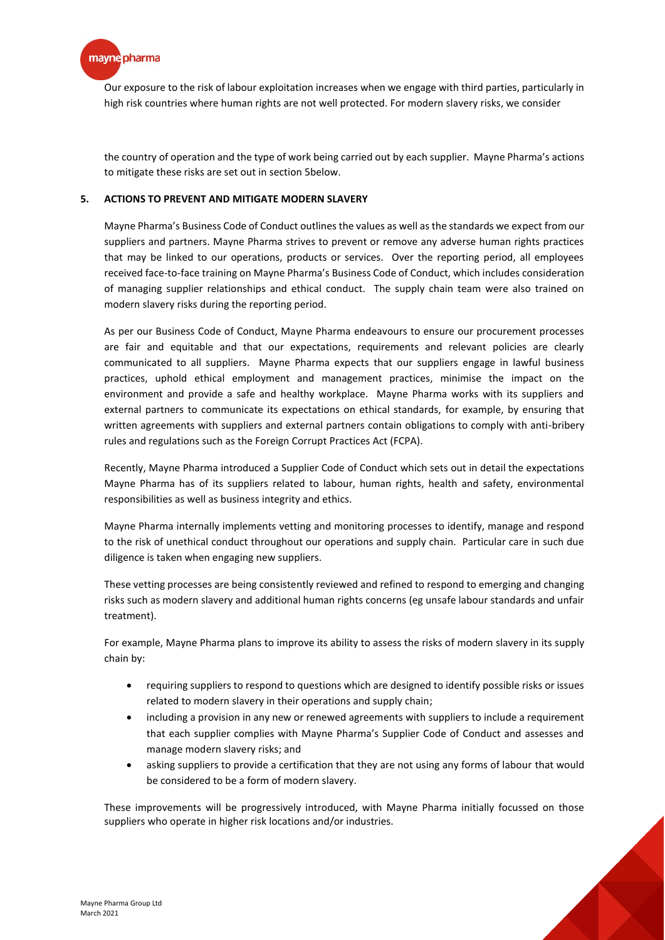

Our exposure to the risk of labour exploitation increases when we engage with third parties, particularly in high risk countries where human rights are not well protected. For modern slavery risks, we consider

the country of operation and the type of work being carried out by each supplier. Mayne Pharma's actions to mitigate these risks are set out in section 5below.

### **5. ACTIONS TO PREVENT AND MITIGATE MODERN SLAVERY**

Mayne Pharma's Business Code of Conduct outlines the values as well as the standards we expect from our suppliers and partners. Mayne Pharma strives to prevent or remove any adverse human rights practices that may be linked to our operations, products or services. Over the reporting period, all employees received face-to-face training on Mayne Pharma's Business Code of Conduct, which includes consideration of managing supplier relationships and ethical conduct. The supply chain team were also trained on modern slavery risks during the reporting period.

As per our Business Code of Conduct, Mayne Pharma endeavours to ensure our procurement processes are fair and equitable and that our expectations, requirements and relevant policies are clearly communicated to all suppliers. Mayne Pharma expects that our suppliers engage in lawful business practices, uphold ethical employment and management practices, minimise the impact on the environment and provide a safe and healthy workplace. Mayne Pharma works with its suppliers and external partners to communicate its expectations on ethical standards, for example, by ensuring that written agreements with suppliers and external partners contain obligations to comply with anti-bribery rules and regulations such as the Foreign Corrupt Practices Act (FCPA).

Recently, Mayne Pharma introduced a Supplier Code of Conduct which sets out in detail the expectations Mayne Pharma has of its suppliers related to labour, human rights, health and safety, environmental responsibilities as well as business integrity and ethics.

Mayne Pharma internally implements vetting and monitoring processes to identify, manage and respond to the risk of unethical conduct throughout our operations and supply chain. Particular care in such due diligence is taken when engaging new suppliers.

These vetting processes are being consistently reviewed and refined to respond to emerging and changing risks such as modern slavery and additional human rights concerns (eg unsafe labour standards and unfair treatment).

For example, Mayne Pharma plans to improve its ability to assess the risks of modern slavery in its supply chain by:

- requiring suppliers to respond to questions which are designed to identify possible risks or issues related to modern slavery in their operations and supply chain;
- including a provision in any new or renewed agreements with suppliers to include a requirement that each supplier complies with Mayne Pharma's Supplier Code of Conduct and assesses and manage modern slavery risks; and
- asking suppliers to provide a certification that they are not using any forms of labour that would be considered to be a form of modern slavery.

These improvements will be progressively introduced, with Mayne Pharma initially focussed on those suppliers who operate in higher risk locations and/or industries.